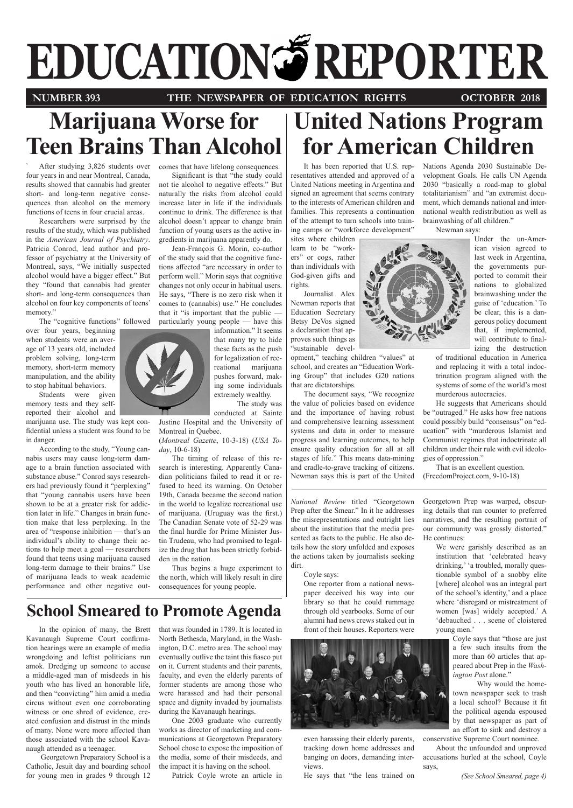# **EDUCATION REPORTER**

# **NUMBER 393 THE NEWSPAPER OF EDUCATION RIGHTS OCTOBER 2018**

# **Marijuana Worse for Teen Brains Than Alcohol**

After studying 3,826 students over four years in and near Montreal, Canada, results showed that cannabis had greater short- and long-term negative consequences than alcohol on the memory functions of teens in four crucial areas.

Researchers were surprised by the results of the study, which was published in the *American Journal of Psychiatry*. Patricia Conrod, lead author and professor of psychiatry at the University of Montreal, says, "We initially suspected alcohol would have a bigger effect." But they "found that cannabis had greater short- and long-term consequences than alcohol on four key components of teens' memory."

The "cognitive functions" followed

over four years, beginning when students were an average of 13 years old, included problem solving, long-term memory, short-term memory manipulation, and the ability to stop habitual behaviors.

Students were given memory tests and they selfreported their alcohol and

marijuana use. The study was kept confidential unless a student was found to be in danger.

According to the study, "Young cannabis users may cause long-term damage to a brain function associated with substance abuse." Conrod says researchers had previously found it "perplexing" that "young cannabis users have been shown to be at a greater risk for addiction later in life." Changes in brain function make that less perplexing. In the area of "response inhibition — that's an individual's ability to change their actions to help meet a goal — researchers found that teens using marijuana caused long-term damage to their brains." Use of marijuana leads to weak academic performance and other negative out-



comes that have lifelong consequences.

Significant is that "the study could not tie alcohol to negative effects." But naturally the risks from alcohol could increase later in life if the individuals continue to drink. The difference is that alcohol doesn't appear to change brain function of young users as the active ingredients in marijuana apparently do.

Jean-François G. Morin, co-author of the study said that the cognitive functions affected "are necessary in order to perform well." Morin says that cognitive changes not only occur in habitual users. He says, "There is no zero risk when it comes to (cannabis) use." He concludes that it "is important that the public particularly young people — have this

information." It seems that many try to hide these facts as the push for legalization of recreational marijuana pushes forward, making some individuals extremely wealthy.

The study was

conducted at Sainte Justine Hospital and the University of Montreal in Quebec.

(*Montreal Gazette*, 10-3-18) (*USA Today*, 10-6-18)

The timing of release of this research is interesting. Apparently Canadian politicians failed to read it or refused to heed its warning. On October 19th, Canada became the second nation in the world to legalize recreational use of marijuana. (Uruguay was the first.) The Canadian Senate vote of 52-29 was the final hurdle for Prime Minister Justin Trudeau, who had promised to legalize the drug that has been strictly forbidden in the nation.

Thus begins a huge experiment to the north, which will likely result in dire consequences for young people.

# **School Smeared to Promote Agenda**

In the opinion of many, the Brett Kavanaugh Supreme Court confirma-North Bethesda, Maryland, in the Washtion hearings were an example of media wrongdoing and leftist politicians run amok. Dredging up someone to accuse a middle-aged man of misdeeds in his youth who has lived an honorable life, and then "convicting" him amid a media circus without even one corroborating witness or one shred of evidence, created confusion and distrust in the minds of many. None were more affected than those associated with the school Kavanaugh attended as a teenager.

 Georgetown Preparatory School is a Catholic, Jesuit day and boarding school for young men in grades 9 through 12

that was founded in 1789. It is located in ington, D.C. metro area. The school may eventually outlive the taint this fiasco put on it. Current students and their parents, faculty, and even the elderly parents of former students are among those who were harassed and had their personal space and dignity invaded by journalists during the Kavanaugh hearings.

One 2003 graduate who currently works as director of marketing and communications at Georgetown Preparatory School chose to expose the imposition of the media, some of their misdeeds, and the impact it is having on the school.

Patrick Coyle wrote an article in

# **United Nations Program for American Children**

It has been reported that U.S. representatives attended and approved of a United Nations meeting in Argentina and signed an agreement that seems contrary to the interests of American children and families. This represents a continuation of the attempt to turn schools into training camps or "workforce development"

sites where children learn to be "workers" or cogs, rather than individuals with God-given gifts and rights.

Journalist Alex Newman reports that Education Secretary Betsy DeVos signed a declaration that approves such things as "sustainable devel-

opment," teaching children "values" at school, and creates an "Education Working Group" that includes G20 nations that are dictatorships.

The document says, "We recognize the value of policies based on evidence and the importance of having robust and comprehensive learning assessment systems and data in order to measure progress and learning outcomes, to help ensure quality education for all at all stages of life." This means data-mining and cradle-to-grave tracking of citizens. Newman says this is part of the United

*National Review* titled "Georgetown Prep after the Smear." In it he addresses the misrepresentations and outright lies about the institution that the media presented as facts to the public. He also details how the story unfolded and exposes the actions taken by journalists seeking dirt.

#### Coyle says:

One reporter from a national newspaper deceived his way into our library so that he could rummage through old yearbooks. Some of our alumni had news crews staked out in front of their houses. Reporters were



even harassing their elderly parents, tracking down home addresses and banging on doors, demanding interviews.

He says that "the lens trained on

Nations Agenda 2030 Sustainable Development Goals. He calls UN Agenda 2030 "basically a road-map to global totalitarianism" and "an extremist document, which demands national and international wealth redistribution as well as brainwashing of all children."

Newman says:



ican vision agreed to last week in Argentina, the governments purported to commit their nations to globalized brainwashing under the guise of 'education.' To be clear, this is a dangerous policy document that, if implemented, will contribute to finalizing the destruction

of traditional education in America and replacing it with a total indoctrination program aligned with the systems of some of the world's most murderous autocracies.

He suggests that Americans should be "outraged." He asks how free nations could possibly build "consensus" on "education" with "murderous Islamist and Communist regimes that indoctrinate all children under their rule with evil ideologies of oppression."

That is an excellent question. (FreedomProject.com, 9-10-18)

Georgetown Prep was warped, obscuring details that ran counter to preferred narratives, and the resulting portrait of our community was grossly distorted." He continues:

> We were garishly described as an institution that 'celebrated heavy drinking,' 'a troubled, morally questionable symbol of a snobby elite [where] alcohol was an integral part of the school's identity,' and a place where 'disregard or mistreatment of women [was] widely accepted.' A 'debauched . . . scene of cloistered young men.'

Coyle says that "those are just a few such insults from the more than 60 articles that appeared about Prep in the *Washington Post* alone."

 Why would the hometown newspaper seek to trash a local school? Because it fit the political agenda espoused by that newspaper as part of an effort to sink and destroy a conservative Supreme Court nominee.

About the unfounded and unproved accusations hurled at the school, Coyle says,

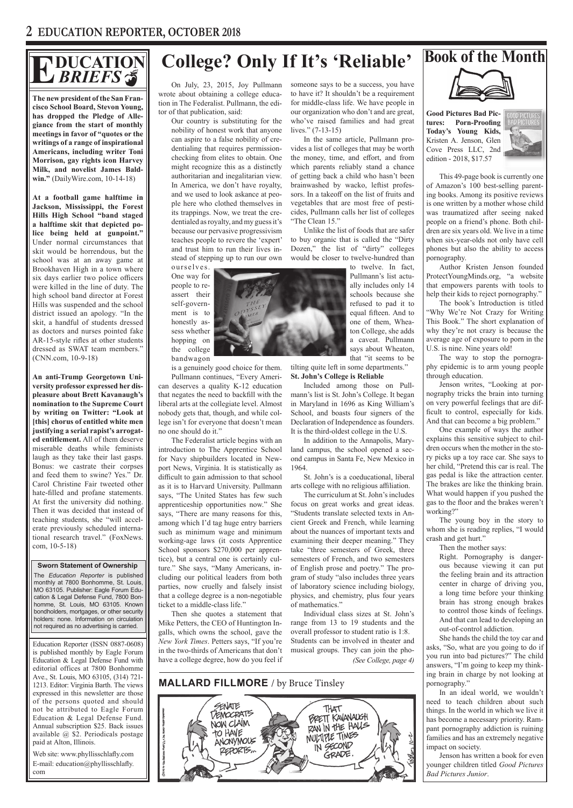# **DUCATION** *BRIEFS*

**The new president of the San Francisco School Board, Stevon Young, has dropped the Pledge of Allegiance from the start of monthly meetings in favor of "quotes or the writings of a range of inspirational Americans, including writer Toni Morrison, gay rights icon Harvey Milk, and novelist James Baldwin."** (DailyWire.com, 10-14-18)

**At a football game halftime in Jackson, Mississippi, the Forest Hills High School "band staged a halftime skit that depicted police being held at gunpoint."**  Under normal circumstances that skit would be horrendous, but the school was at an away game at Brookhaven High in a town where six days earlier two police officers were killed in the line of duty. The high school band director at Forest Hills was suspended and the school district issued an apology. "In the skit, a handful of students dressed as doctors and nurses pointed fake AR-15-style rifles at other students dressed as SWAT team members." (CNN.com, 10-9-18)

**An anti-Trump Georgetown University professor expressed her displeasure about Brett Kavanaugh's nomination to the Supreme Court by writing on Twitter: "Look at [this] chorus of entitled white men justifying a serial rapist's arrogated entitlement.** All of them deserve miserable deaths while feminists laugh as they take their last gasps. Bonus: we castrate their corpses and feed them to swine? Yes." Dr. Carol Christine Fair tweeted other hate-filled and profane statements. At first the university did nothing. Then it was decided that instead of teaching students, she "will accelerate previously scheduled international research travel." (FoxNews. com, 10-5-18)

 **Sworn Statement of Ownership** The *Education Reporter* is published monthly at 7800 Bonhomme, St. Louis, MO 63105. Publisher: Eagle Forum Education & Legal Defense Fund, 7800 Bonhomme, St. Louis, MO 63105. Known bondholders, mortgages, or other security holders: none. Information on circulation not required as no advertising is carried.

Education Reporter (ISSN 0887-0608) is published monthly by Eagle Forum Education & Legal Defense Fund with editorial offices at 7800 Bonhomme Ave., St. Louis, MO 63105, (314) 721- 1213. Editor: Virginia Barth. The views expressed in this newsletter are those of the persons quoted and should not be attributed to Eagle Forum Education & Legal Defense Fund. Annual subscription \$25. Back issues available @ \$2. Periodicals postage paid at Alton, Illinois.

Web site: www.phyllisschlafly.com E-mail: education@phyllisschlafly. com

# **Book of the Month E College? Only If It's 'Reliable'**

On July, 23, 2015, Joy Pullmann wrote about obtaining a college education in The Federalist. Pullmann, the editor of that publication, said:

Our country is substituting for the nobility of honest work that anyone can aspire to a false nobility of credentialing that requires permissionchecking from elites to obtain. One might recognize this as a distinctly authoritarian and inegalitarian view. In America, we don't have royalty, and we used to look askance at people here who clothed themselves in its trappings. Now, we treat the credentialed as royalty, and my guess it's because our pervasive progressivism teaches people to revere the 'expert' and trust him to run their lives instead of stepping up to run our own

One way for people to reassert their self-government is to honestly assess whether hopping on the college bandwagon

is a genuinely good choice for them. Pullmann continues, "Every American deserves a quality K-12 education that negates the need to backfill with the liberal arts at the collegiate level. Almost nobody gets that, though, and while college isn't for everyone that doesn't mean no one should do it."

 The Federalist article begins with an introduction to The Apprentice School for Navy shipbuilders located in Newport News, Virginia. It is statistically as difficult to gain admission to that school as it is to Harvard University. Pullmann says, "The United States has few such apprenticeship opportunities now." She says, "There are many reasons for this, among which I'd tag huge entry barriers such as minimum wage and minimum working-age laws (it costs Apprentice School sponsors \$270,000 per apprentice), but a central one is certainly culture." She says, "Many Americans, including our political leaders from both parties, now cruelly and falsely insist that a college degree is a non-negotiable ticket to a middle-class life."

Then she quotes a statement that Mike Petters, the CEO of Huntington Ingalls, which owns the school, gave the *New York Times*. Petters says, "If you're in the two-thirds of Americans that don't have a college degree, how do you feel if someone says to be a success, you have to have it? It shouldn't be a requirement for middle-class life. We have people in our organization who don't and are great, who've raised families and had great lives." (7-13-15)

In the same article, Pullmann provides a list of colleges that may be worth the money, time, and effort, and from which parents reliably stand a chance of getting back a child who hasn't been brainwashed by wacko, leftist professors. In a takeoff on the list of fruits and vegetables that are most free of pesticides, Pullmann calls her list of colleges "The Clean 15."

Unlike the list of foods that are safer to buy organic that is called the "Dirty Dozen," the list of "dirty" colleges would be closer to twelve-hundred than

> to twelve. In fact, Pullmann's list actually includes only 14 schools because she refused to pad it to equal fifteen. And to one of them, Wheaton College, she adds a caveat. Pullmann says about Wheaton, that "it seems to be

tilting quite left in some departments." **St. John's College is Reliable**

Included among those on Pullmann's list is St. John's College. It began in Maryland in 1696 as King William's School, and boasts four signers of the Declaration of Independence as founders. It is the third-oldest college in the U.S.

In addition to the Annapolis, Maryland campus, the school opened a second campus in Santa Fe, New Mexico in 1964.

St. John's is a coeducational, liberal arts college with no religious affiliation.

The curriculum at St. John's includes focus on great works and great ideas. "Students translate selected texts in Ancient Greek and French, while learning about the nuances of important texts and examining their deeper meaning." They take "three semesters of Greek, three semesters of French, and two semesters of English prose and poetry." The program of study "also includes three years of laboratory science including biology, physics, and chemistry, plus four years of mathematics."

Individual class sizes at St. John's range from 13 to 19 students and the overall professor to student ratio is 1:8. Students can be involved in theater and musical groups. They can join the pho-*(See College, page 4)*







**Good Pictures Bad Pictures: Porn-Proofing Today's Young Kids,**  Kristen A. Jenson, Glen Cove Press LLC, 2nd edition - 2018, \$17.57



This 49-page book is currently one of Amazon's 100 best-selling parenting books. Among its positive reviews is one written by a mother whose child was traumatized after seeing naked people on a friend's phone. Both children are six years old. We live in a time when six-year-olds not only have cell phones but also the ability to access pornography.

Author Kristen Jenson founded ProtectYoungMinds.org, "a website that empowers parents with tools to help their kids to reject pornography."

The book's Introduction is titled "Why We're Not Crazy for Writing This Book." The short explanation of why they're not crazy is because the average age of exposure to porn in the U.S. is nine. Nine years old!

The way to stop the pornography epidemic is to arm young people through education.

Jenson writes, "Looking at pornography tricks the brain into turning on very powerful feelings that are difficult to control, especially for kids. And that can become a big problem."

One example of ways the author explains this sensitive subject to children occurs when the mother in the story picks up a toy race car. She says to her child, "Pretend this car is real. The gas pedal is like the attraction center. The brakes are like the thinking brain. What would happen if you pushed the gas to the floor and the brakes weren't working?"

The young boy in the story to whom she is reading replies, "I would crash and get hurt."

Then the mother says:

Right. Pornography is dangerous because viewing it can put the feeling brain and its attraction center in charge of driving you, a long time before your thinking brain has strong enough brakes to control those kinds of feelings. And that can lead to developing an out-of-control addiction.

She hands the child the toy car and asks, "So, what are you going to do if you run into bad pictures?" The child answers, "I'm going to keep my thinking brain in charge by not looking at pornography."

In an ideal world, we wouldn't need to teach children about such things. In the world in which we live it has become a necessary priority. Rampant pornography addiction is ruining families and has an extremely negative impact on society.

Jenson has written a book for even younger children titled *Good Pictures Bad Pictures Junior*.

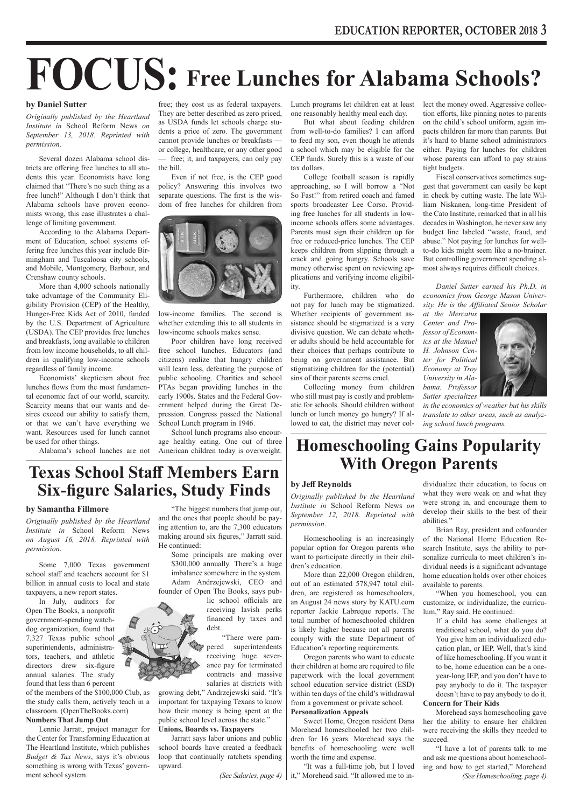# **FOCUS: Free Lunches for Alabama Schools?**

#### **by Daniel Sutter**

*Originally published by the Heartland Institute in* School Reform News *on September 13, 2018. Reprinted with permission*.

Several dozen Alabama school districts are offering free lunches to all students this year. Economists have long claimed that "There's no such thing as a free lunch!" Although I don't think that Alabama schools have proven economists wrong, this case illustrates a challenge of limiting government.

According to the Alabama Department of Education, school systems offering free lunches this year include Birmingham and Tuscaloosa city schools, and Mobile, Montgomery, Barbour, and Crenshaw county schools.

More than 4,000 schools nationally take advantage of the Community Eligibility Provision (CEP) of the Healthy, Hunger-Free Kids Act of 2010, funded by the U.S. Department of Agriculture (USDA). The CEP provides free lunches and breakfasts, long available to children from low income households, to all children in qualifying low-income schools regardless of family income.

Economists' skepticism about free lunches flows from the most fundamental economic fact of our world, scarcity. Scarcity means that our wants and desires exceed our ability to satisfy them, or that we can't have everything we want. Resources used for lunch cannot be used for other things.

Alabama's school lunches are not

free; they cost us as federal taxpayers. They are better described as zero priced, as USDA funds let schools charge students a price of zero. The government cannot provide lunches or breakfasts or college, healthcare, or any other good — free; it, and taxpayers, can only pay the bill.

Even if not free, is the CEP good policy? Answering this involves two separate questions. The first is the wisdom of free lunches for children from



low-income families. The second is whether extending this to all students in low-income schools makes sense.

Poor children have long received free school lunches. Educators (and citizens) realize that hungry children will learn less, defeating the purpose of public schooling. Charities and school PTAs began providing lunches in the early 1900s. States and the Federal Government helped during the Great Depression. Congress passed the National School Lunch program in 1946.

School lunch programs also encourage healthy eating. One out of three American children today is overweight. Lunch programs let children eat at least one reasonably healthy meal each day.

But what about feeding children from well-to-do families? I can afford to feed my son, even though he attends a school which may be eligible for the CEP funds. Surely this is a waste of our tax dollars.

College football season is rapidly approaching, so I will borrow a "Not So Fast!" from retired coach and famed sports broadcaster Lee Corso. Providing free lunches for all students in lowincome schools offers some advantages. Parents must sign their children up for free or reduced-price lunches. The CEP keeps children from slipping through a crack and going hungry. Schools save money otherwise spent on reviewing applications and verifying income eligibility.

Furthermore, children who do not pay for lunch may be stigmatized. Whether recipients of government assistance should be stigmatized is a very divisive question. We can debate whether adults should be held accountable for their choices that perhaps contribute to being on government assistance. But stigmatizing children for the (potential) sins of their parents seems cruel.

Collecting money from children who still must pay is costly and problematic for schools. Should children without lunch or lunch money go hungry? If allowed to eat, the district may never collect the money owed. Aggressive collection efforts, like pinning notes to parents on the child's school uniform, again impacts children far more than parents. But it's hard to blame school administrators either. Paying for lunches for children whose parents can afford to pay strains tight budgets.

Fiscal conservatives sometimes suggest that government can easily be kept in check by cutting waste. The late William Niskanen, long-time President of the Cato Institute, remarked that in all his decades in Washington, he never saw any budget line labeled "waste, fraud, and abuse." Not paying for lunches for wellto-do kids might seem like a no-brainer. But controlling government spending almost always requires difficult choices.

*Daniel Sutter earned his Ph.D. in economics from George Mason University. He is the Affiliated Senior Scholar* 

*at the Mercatus Center and Professor of Economics at the Manuel H. Johnson Center for Political Economy at Troy University in Alabama. Professor Sutter specializes* 



*in the economics of weather but his skills translate to other areas, such as analyzing school lunch programs.*

# **Homeschooling Gains Popularity With Oregon Parents**

### **by Jeff Reynolds**

*Originally published by the Heartland Institute in* School Reform News *on September 12, 2018. Reprinted with permission*.

Homeschooling is an increasingly popular option for Oregon parents who want to participate directly in their children's education.

More than 22,000 Oregon children, out of an estimated 578,947 total children, are registered as homeschoolers, an August 24 news story by KATU.com reporter Jackie Labreque reports. The total number of homeschooled children is likely higher because not all parents comply with the state Department of Education's reporting requirements.

Oregon parents who want to educate their children at home are required to file paperwork with the local government school education service district (ESD) within ten days of the child's withdrawal from a government or private school. **Personalization Appeals**

## Sweet Home, Oregon resident Dana Morehead homeschooled her two chil-

dren for 16 years. Morehead says the benefits of homeschooling were well worth the time and expense.

"It was a full-time job, but I loved *(See Salaries, page 4)* | it," Morehead said. "It allowed me to in-<br>(See Homeschooling, page 4)

dividualize their education, to focus on what they were weak on and what they were strong in, and encourage them to develop their skills to the best of their abilities."

Brian Ray, president and cofounder of the National Home Education Research Institute, says the ability to personalize curricula to meet children's individual needs is a significant advantage home education holds over other choices available to parents.

"When you homeschool, you can customize, or individualize, the curriculum," Ray said. He continued:

If a child has some challenges at traditional school, what do you do? You give him an individualized education plan, or IEP. Well, that's kind of like homeschooling. If you want it to be, home education can be a oneyear-long IEP, and you don't have to pay anybody to do it. The taxpayer doesn't have to pay anybody to do it.

**Concern for Their Kids**

Morehead says homeschooling gave her the ability to ensure her children were receiving the skills they needed to succeed.

"I have a lot of parents talk to me and ask me questions about homeschooling and how to get started," Morehead

# **Texas School Staff Members Earn Six-figure Salaries, Study Finds**

## **by Samantha Fillmore**

*Originally published by the Heartland Institute in* School Reform News *on August 16, 2018. Reprinted with permission*.

Some 7,000 Texas government school staff and teachers account for \$1 billion in annual costs to local and state taxpayers, a new report states.

In July, auditors for Open The Books, a nonprofit government-spending watchdog organization, found that 7,327 Texas public school superintendents, administrators, teachers, and athletic directors drew six-figure annual salaries. The study found that less than 6 percent

of the members of the \$100,000 Club, as the study calls them, actively teach in a classroom. (OpenTheBooks.com) **Numbers That Jump Out**

Lennie Jarratt, project manager for the Center for Transforming Education at The Heartland Institute, which publishes *Budget & Tax News*, says it's obvious something is wrong with Texas' government school system.

"The biggest numbers that jump out, and the ones that people should be paying attention to, are the 7,300 educators making around six figures," Jarratt said. He continued:

Some principals are making over \$300,000 annually. There's a huge imbalance somewhere in the system. Adam Andrzejewski, CEO and founder of Open The Books, says pub-

lic school officials are receiving lavish perks financed by taxes and debt.

 "There were pampered superintendents receiving huge severance pay for terminated contracts and massive salaries at districts with

how their money is being spent at the **Unions, Boards vs. Taxpayers**

Jarratt says labor unions and public school boards have created a feedback loop that continually ratchets spending upward.

growing debt," Andrzejewski said. "It's important for taxpaying Texans to know public school level across the state."